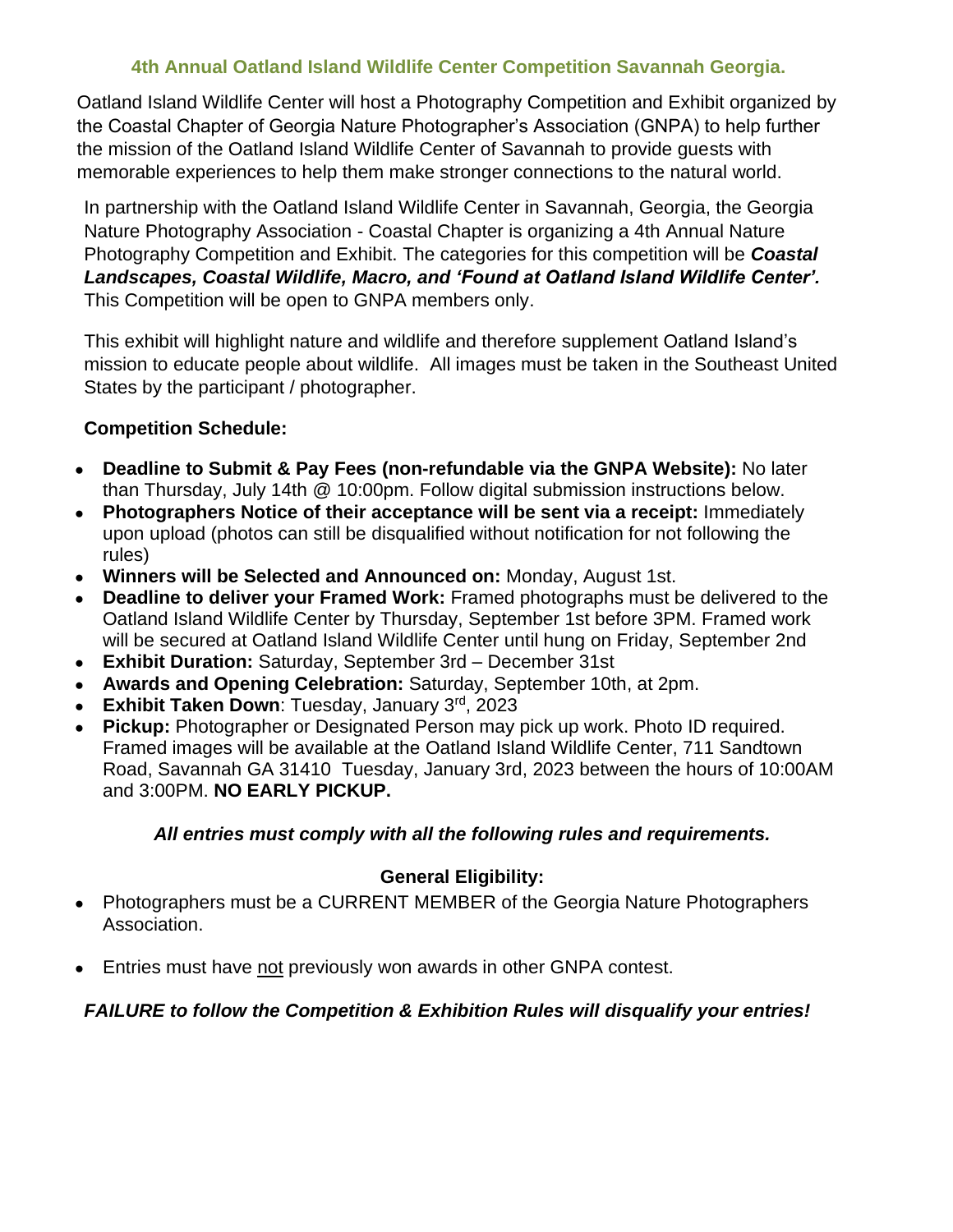## **4th Annual Oatland Island Wildlife Center Competition Savannah Georgia.**

Oatland Island Wildlife Center will host a Photography Competition and Exhibit organized by the Coastal Chapter of Georgia Nature Photographer's Association (GNPA) to help further the mission of the Oatland Island Wildlife Center of Savannah to provide guests with memorable experiences to help them make stronger connections to the natural world.

In partnership with the Oatland Island Wildlife Center in Savannah, Georgia, the Georgia Nature Photography Association - Coastal Chapter is organizing a 4th Annual Nature Photography Competition and Exhibit. The categories for this competition will be *Coastal Landscapes, Coastal Wildlife, Macro, and 'Found at Oatland Island Wildlife Center'.*  This Competition will be open to GNPA members only.

This exhibit will highlight nature and wildlife and therefore supplement Oatland Island's mission to educate people about wildlife. All images must be taken in the Southeast United States by the participant / photographer.

#### **Competition Schedule:**

- **Deadline to Submit & Pay Fees (non-refundable via the GNPA Website):** No later than Thursday, July 14th @ 10:00pm. Follow digital submission instructions below.
- **Photographers Notice of their acceptance will be sent via a receipt:** Immediately upon upload (photos can still be disqualified without notification for not following the rules)
- **Winners will be Selected and Announced on:** Monday, August 1st.
- **Deadline to deliver your Framed Work:** Framed photographs must be delivered to the Oatland Island Wildlife Center by Thursday, September 1st before 3PM. Framed work will be secured at Oatland Island Wildlife Center until hung on Friday, September 2nd
- **Exhibit Duration:** Saturday, September 3rd December 31st
- **Awards and Opening Celebration:** Saturday, September 10th, at 2pm.
- **Exhibit Taken Down**: Tuesday, January 3rd, 2023
- **Pickup:** Photographer or Designated Person may pick up work. Photo ID required. Framed images will be available at the Oatland Island Wildlife Center, 711 Sandtown Road, Savannah GA 31410 Tuesday, January 3rd, 2023 between the hours of 10:00AM and 3:00PM. **NO EARLY PICKUP.**

#### *All entries must comply with all the following rules and requirements.*

## **General Eligibility:**

- Photographers must be a CURRENT MEMBER of the Georgia Nature Photographers Association.
- Entries must have not previously won awards in other GNPA contest.

## *FAILURE to follow the Competition & Exhibition Rules will disqualify your entries!*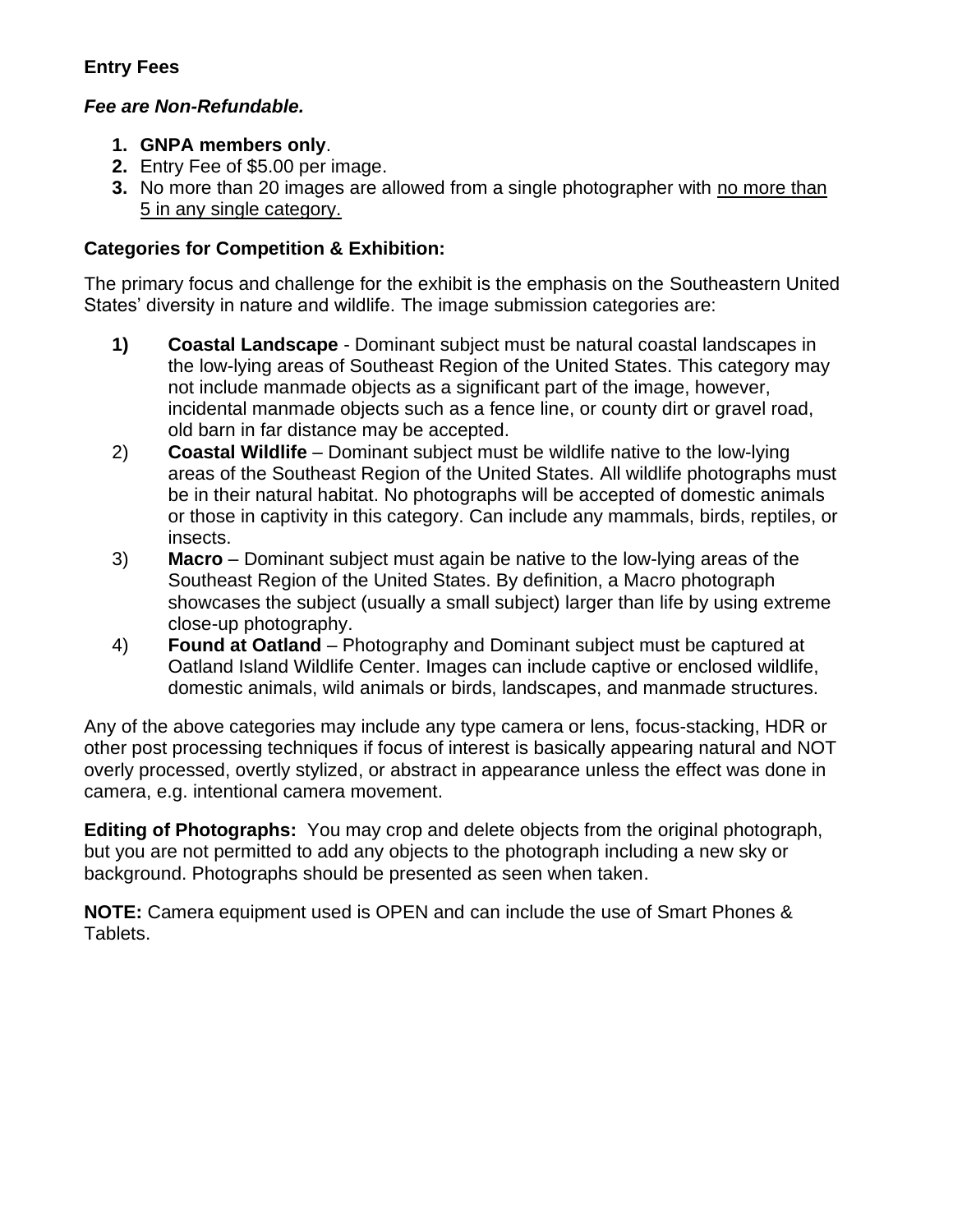# **Entry Fees**

# *Fee are Non-Refundable.*

- **1. GNPA members only**.
- **2.** Entry Fee of \$5.00 per image.
- **3.** No more than 20 images are allowed from a single photographer with no more than 5 in any single category.

# **Categories for Competition & Exhibition:**

The primary focus and challenge for the exhibit is the emphasis on the Southeastern United States' diversity in nature and wildlife. The image submission categories are:

- **1) Coastal Landscape** Dominant subject must be natural coastal landscapes in the low-lying areas of Southeast Region of the United States. This category may not include manmade objects as a significant part of the image, however, incidental manmade objects such as a fence line, or county dirt or gravel road, old barn in far distance may be accepted.
- 2) **Coastal Wildlife** Dominant subject must be wildlife native to the low-lying areas of the Southeast Region of the United States. All wildlife photographs must be in their natural habitat. No photographs will be accepted of domestic animals or those in captivity in this category. Can include any mammals, birds, reptiles, or insects.
- 3) **Macro** Dominant subject must again be native to the low-lying areas of the Southeast Region of the United States. By definition, a Macro photograph showcases the subject (usually a small subject) larger than life by using extreme close-up photography.
- 4) **Found at Oatland** Photography and Dominant subject must be captured at Oatland Island Wildlife Center. Images can include captive or enclosed wildlife, domestic animals, wild animals or birds, landscapes, and manmade structures.

Any of the above categories may include any type camera or lens, focus-stacking, HDR or other post processing techniques if focus of interest is basically appearing natural and NOT overly processed, overtly stylized, or abstract in appearance unless the effect was done in camera, e.g. intentional camera movement.

**Editing of Photographs:** You may crop and delete objects from the original photograph, but you are not permitted to add any objects to the photograph including a new sky or background. Photographs should be presented as seen when taken.

**NOTE:** Camera equipment used is OPEN and can include the use of Smart Phones & Tablets.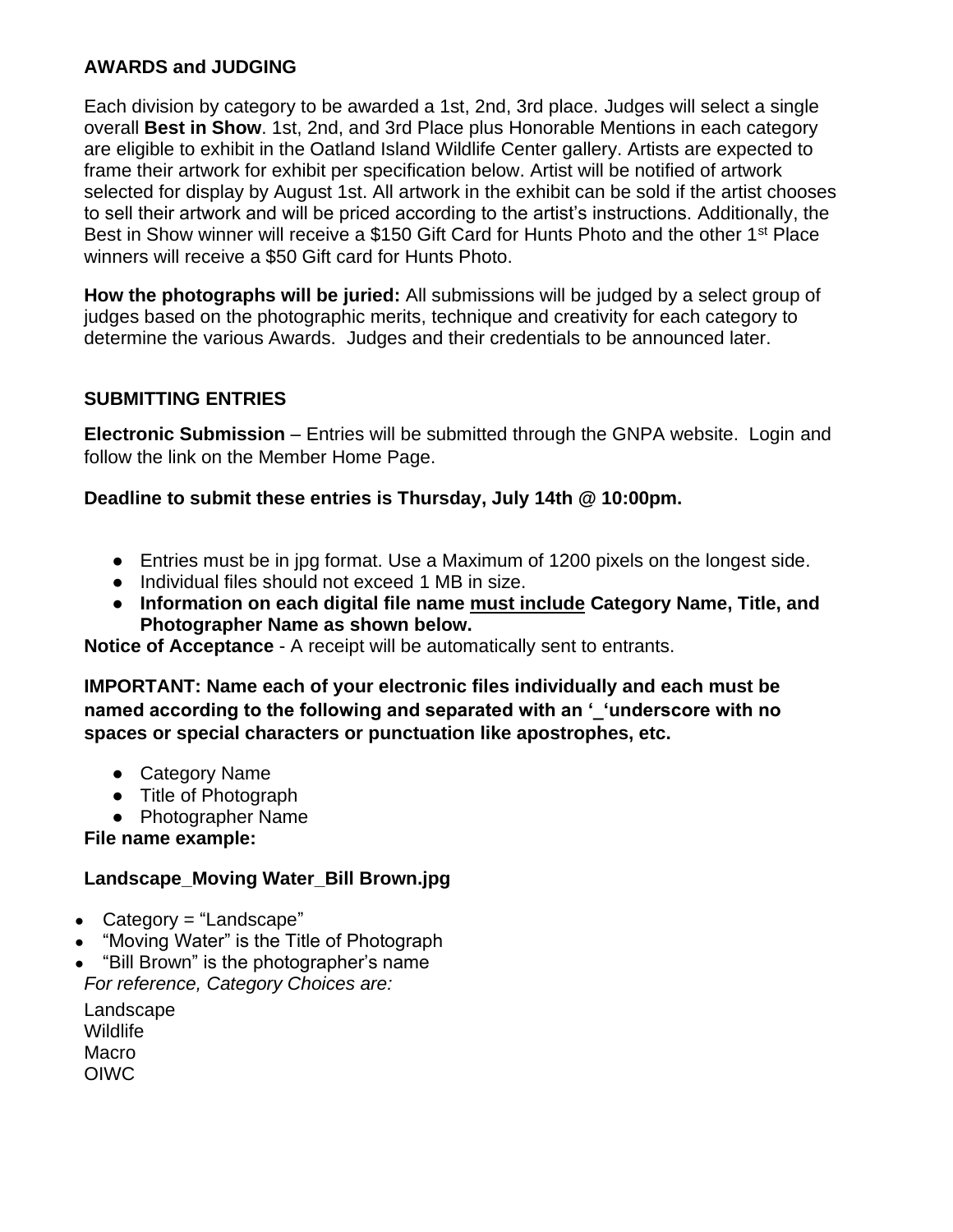# **AWARDS and JUDGING**

Each division by category to be awarded a 1st, 2nd, 3rd place. Judges will select a single overall **Best in Show**. 1st, 2nd, and 3rd Place plus Honorable Mentions in each category are eligible to exhibit in the Oatland Island Wildlife Center gallery. Artists are expected to frame their artwork for exhibit per specification below. Artist will be notified of artwork selected for display by August 1st. All artwork in the exhibit can be sold if the artist chooses to sell their artwork and will be priced according to the artist's instructions. Additionally, the Best in Show winner will receive a \$150 Gift Card for Hunts Photo and the other 1<sup>st</sup> Place winners will receive a \$50 Gift card for Hunts Photo.

**How the photographs will be juried:** All submissions will be judged by a select group of judges based on the photographic merits, technique and creativity for each category to determine the various Awards. Judges and their credentials to be announced later.

# **SUBMITTING ENTRIES**

**Electronic Submission** – Entries will be submitted through the GNPA website. Login and follow the link on the Member Home Page.

## **Deadline to submit these entries is Thursday, July 14th @ 10:00pm.**

- Entries must be in jpg format. Use a Maximum of 1200 pixels on the longest side.
- Individual files should not exceed 1 MB in size.
- **Information on each digital file name must include Category Name, Title, and Photographer Name as shown below.**

**Notice of Acceptance** - A receipt will be automatically sent to entrants.

**IMPORTANT: Name each of your electronic files individually and each must be named according to the following and separated with an '\_'underscore with no spaces or special characters or punctuation like apostrophes, etc.**

- Category Name
- Title of Photograph
- Photographer Name

#### **File name example:**

## **Landscape\_Moving Water\_Bill Brown.jpg**

- Category = "Landscape"
- "Moving Water" is the Title of Photograph
- "Bill Brown" is the photographer's name *For reference, Category Choices are:*

Landscape Wildlife Macro OIWC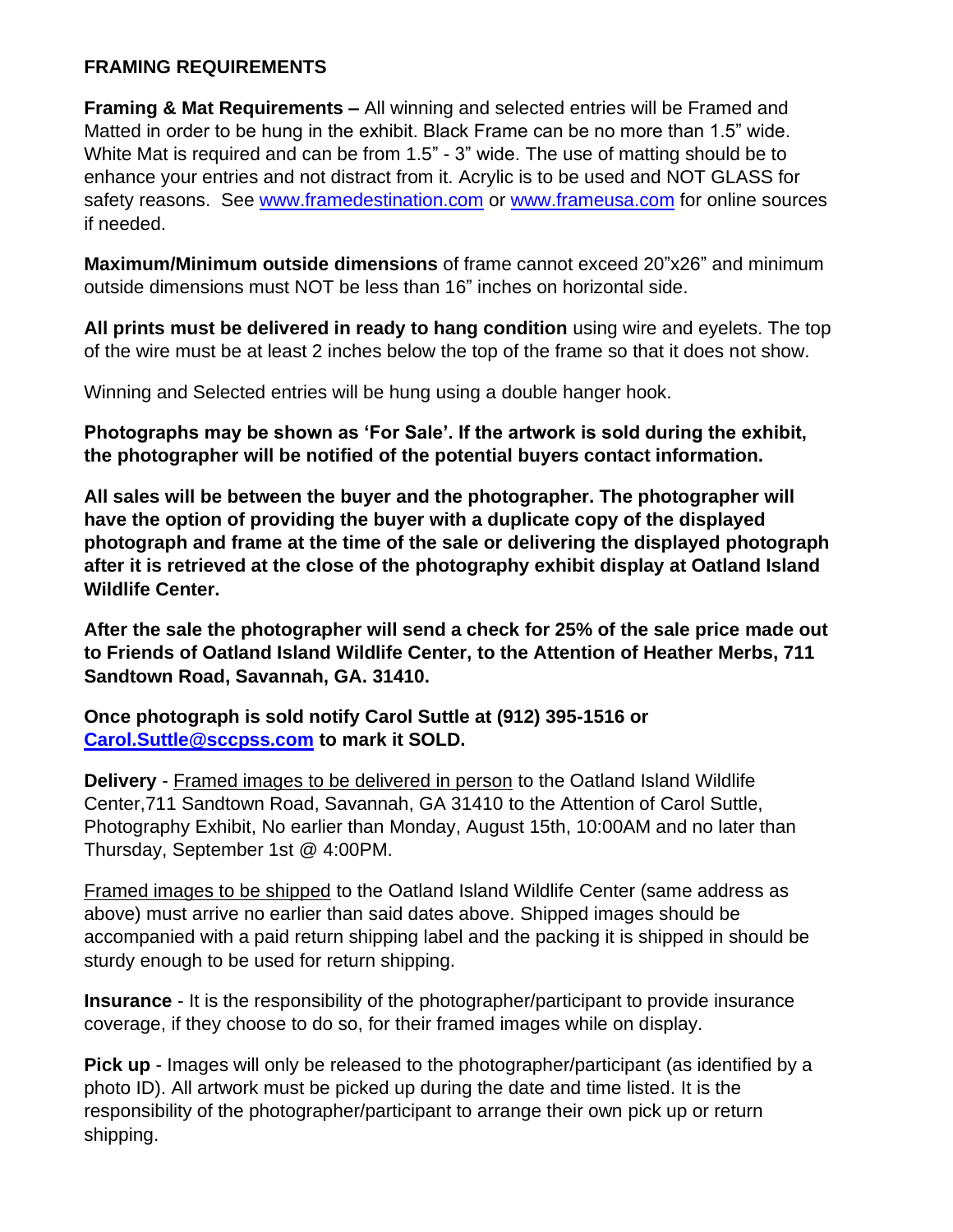# **FRAMING REQUIREMENTS**

**Framing & Mat Requirements –** All winning and selected entries will be Framed and Matted in order to be hung in the exhibit. Black Frame can be no more than 1.5" wide. White Mat is required and can be from 1.5" - 3" wide. The use of matting should be to enhance your entries and not distract from it. Acrylic is to be used and NOT GLASS for safety reasons. See www.framedestination.com or www.frameusa.com for online sources if needed.

**Maximum/Minimum outside dimensions** of frame cannot exceed 20"x26" and minimum outside dimensions must NOT be less than 16" inches on horizontal side.

**All prints must be delivered in ready to hang condition** using wire and eyelets. The top of the wire must be at least 2 inches below the top of the frame so that it does not show.

Winning and Selected entries will be hung using a double hanger hook.

**Photographs may be shown as 'For Sale'. If the artwork is sold during the exhibit, the photographer will be notified of the potential buyers contact information.** 

**All sales will be between the buyer and the photographer. The photographer will have the option of providing the buyer with a duplicate copy of the displayed photograph and frame at the time of the sale or delivering the displayed photograph after it is retrieved at the close of the photography exhibit display at Oatland Island Wildlife Center.**

**After the sale the photographer will send a check for 25% of the sale price made out to Friends of Oatland Island Wildlife Center, to the Attention of Heather Merbs, 711 Sandtown Road, Savannah, GA. 31410.** 

**Once photograph is sold notify Carol Suttle at (912) 395-1516 or Carol.Suttle@sccpss.com to mark it SOLD.**

**Delivery** - Framed images to be delivered in person to the Oatland Island Wildlife Center,711 Sandtown Road, Savannah, GA 31410 to the Attention of Carol Suttle, Photography Exhibit, No earlier than Monday, August 15th, 10:00AM and no later than Thursday, September 1st @ 4:00PM.

Framed images to be shipped to the Oatland Island Wildlife Center (same address as above) must arrive no earlier than said dates above. Shipped images should be accompanied with a paid return shipping label and the packing it is shipped in should be sturdy enough to be used for return shipping.

**Insurance** - It is the responsibility of the photographer/participant to provide insurance coverage, if they choose to do so, for their framed images while on display.

**Pick up** - Images will only be released to the photographer/participant (as identified by a photo ID). All artwork must be picked up during the date and time listed. It is the responsibility of the photographer/participant to arrange their own pick up or return shipping.